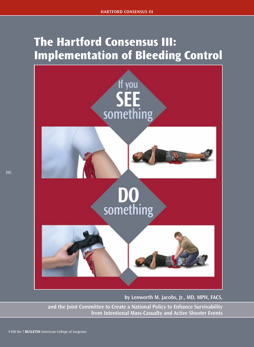# **The Hartford Consensus III: Implementation of Bleeding Control**



**by Lenworth M. Jacobs, Jr., MD, MPH, FACS,**

 **and the Joint Committee to Create a National Policy to Enhance Survivability from Intentional Mass-Casualty and Active Shooter Events**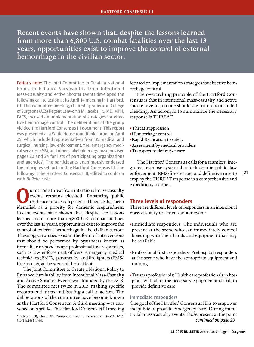Recent events have shown that, despite the lessons learned from more than 6,800 U.S. combat fatalities over the last 13 years, opportunities exist to improve the control of external hemorrhage in the civilian sector.

Editor's note: The Joint Committee to Create a National Policy to Enhance Survivability from Intentional Mass-Casualty and Active Shooter Events developed the following call to action at its April 14 meeting in Hartford, CT. This committee meeting, chaired by American College of Surgeons (ACS) Regent Lenworth M. Jacobs, Jr., MD, MPH, FACS, focused on implementation of strategies for effective hemorrhage control. The deliberations of the group yielded the Hartford Consensus III document. This report was presented at a White House roundtable forum on April 29, which included representatives from 35 medical and surgical, nursing, law enforcement, fire, emergency medical services (EMS), and other stakeholder organizations (see pages 22 and 24 for lists of participating organizations and agencies). The participants unanimously endorsed the principles set forth in the Hartford Consensus III. The following is the Hartford Consensus III, edited to conform with *Bulletin* style.

**O**ur nation's threat from intentional mass-casualty<br>
resilience to all such potential hazards has been<br>
identified as a priority for domestic preparedness events remains elevated. Enhancing public identified as a priority for domestic preparedness. Recent events have shown that, despite the lessons learned from more than 6,800 U.S. combat fatalities over the last 13 years, opportunities exist to improve the control of external hemorrhage in the civilian sector.\* These opportunities exist in the form of interventions that should be performed by bystanders known as immediate responders and professional first responders, such as law enforcement officers, emergency medical technicians (EMTs), paramedics, and firefighters (EMS/ fire/rescue), at the scene of the incident**.**

The Joint Committee to Create a National Policy to Enhance Survivability from Intentional Mass-Casualty and Active Shooter Events was founded by the ACS. The committee met twice in 2013, making specific recommendations and issuing a call to action. The deliberations of the committee have become known as the Hartford Consensus. A third meeting was convened on April 14. This Hartford Consensus III meeting

focused on implementation strategies for effective hemorrhage control.

The overarching principle of the Hartford Consensus is that in intentional mass-casualty and active shooter events, no one should die from uncontrolled bleeding. An acronym to summarize the necessary response is THREAT:

- **•T**hreat suppression
- **•H**emorrhage control
- **•R**apid **E**xtrication to safety
- **•A**ssessment by medical providers
- **•T**ransport to definitive care

 The Hartford Consensus calls for a seamless, integrated response system that includes the public, law enforcement, EMS/fire/rescue, and definitive care to employ the THREAT response in a comprehensive and expeditious manner.

## **Three levels of responders**

There are different levels of responders in an intentional mass-casualty or active shooter event:

- •Immediate responders: The individuals who are present at the scene who can immediately control bleeding with their hands and equipment that may be available
- •Professional first responders: Prehospital responders at the scene who have the appropriate equipment and training
- •Trauma professionals: Health care professionals in hospitals with all of the necessary equipment and skill to provide definitive care

## **Immediate responders**

One goal of the Hartford Consensus III is to empower the public to provide emergency care. During intentional mass-casualty events, those present at the point \*Holcomb JB, Hoyt DB. Comprehensive injury research. *JAMA*. 2015; *continued on page 23*

<sup>313(14):1463-1464.</sup>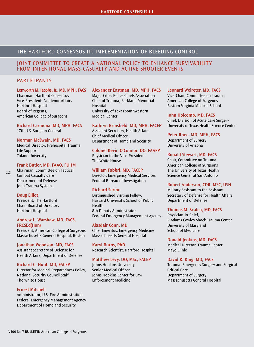# THE HARTFORD CONSENSUS III: IMPLEMENTATION OF BLEEDING CONTROL

## JOINT COMMITTEE TO CREATE A NATIONAL POLICY TO ENHANCE SURVIVABILITY FROM INTENTIONAL MASS-CASUALTY AND ACTIVE SHOOTER EVENTS

# PARTICIPANTS

#### **Lenworth M. Jacobs, Jr., MD, MPH, FACS**

Chairman, Hartford Consensus Vice-President, Academic Affairs Hartford Hospital Board of Regents, American College of Surgeons

**Richard Carmona, MD, MPH, FACS** 17th U.S. Surgeon General

#### **Norman McSwain, MD, FACS**

Medical Director, Prehospital Trauma Life Support Tulane University

#### **Frank Butler, MD, FAAO, FUHM**

Chairman, Committee on Tactical Combat Casualty Care Department of Defense Joint Trauma Systems 22|

#### **Doug Elliot**

President, The Hartford Chair, Board of Directors Hartford Hospital

#### **Andrew L. Warshaw, MD, FACS, FRCSEd(Hon)**

President, American College of Surgeons Massachusetts General Hospital, Boston

#### **Jonathan Woodson, MD, FACS** Assistant Secretary of Defense for Health Affairs, Department of Defense

**Richard C. Hunt, MD, FACEP** Director for Medical Preparedness Policy,

National Security Council Staff The White House

## **Ernest Mitchell**

Administrator, U.S. Fire Administration Federal Emergency Management Agency Department of Homeland Security

## **Alexander Eastman, MD, MPH, FACS**

Major Cities Police Chiefs Association Chief of Trauma, Parkland Memorial Hospital University of Texas Southwestern Medical Center

#### **Kathryn Brinsfield, MD, MPH, FACEP**

Assistant Secretary, Health Affairs Chief Medical Officer, Department of Homeland Security

**Colonel Kevin O'Connor, DO, FAAFP**

Physician to the Vice-President The White House

#### **William Fabbri, MD, FACEP**

Director, Emergency Medical Services Federal Bureau of Investigation

## **Richard Serino**

Distinguished Visiting Fellow, Harvard University, School of Public Health 8th Deputy Administrator, Federal Emergency Management Agency

#### **Alasdair Conn, MD**

Chief Emeritus, Emergency Medicine Massachusetts General Hospital

**Karyl Burns, PhD** Research Scientist, Hartford Hospital

## **Matthew Levy, DO, MSc, FACEP**

Johns Hopkins University Senior Medical Officer, Johns Hopkins Center for Law Enforcement Medicine

#### **Leonard Weireter, MD, FACS**

Vice-Chair, Committee on Trauma American College of Surgeons Eastern Virginia Medical School

#### **John Holcomb, MD, FACS**

Chief, Division of Acute Care Surgery University of Texas Health Science Center

#### **Peter Rhee, MD, MPH, FACS** Department of Surgery

University of Arizona

#### **Ronald Stewart, MD, FACS**

Chair, Committee on Trauma American College of Surgeons The University of Texas Health Science Center at San Antonio

#### **Robert Anderson, CDR, MSC, USN**

Military Assistant to the Assistant Secretary of Defense for Health Affairs Department of Defense

#### **Thomas M. Scalea, MD, FACS**

Physician-in-Chief, R Adams Cowley Shock Trauma Center University of Maryland School of Medicine

**Donald Jenkins, MD, FACS** Medical Director, Trauma Center Mayo Clinic

#### **David R. King, MD, FACS**

Trauma, Emergency Surgery and Surgical Critical Care Department of Surgery Massachusetts General Hospital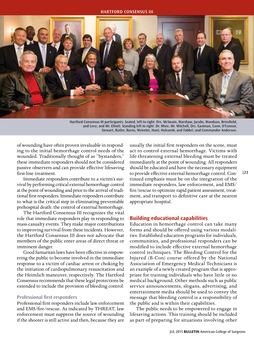

Hartford Consensus III participants. Seated, left to right: Drs. McSwain, Warshaw, Jacobs, Woodson, Brinsfield, and Levy; and Mr. Elliott. Standing left to right: Dr. Rhee, Mr. Mitchell, Drs. Eastman, Conn, O'Connor, Stewart, Butler, Burns, Weireter, Hunt, Holcomb, and Fabbri; and Commander Anderson.

of wounding have often proven invaluable in responding to the initial hemorrhage control needs of the wounded. Traditionally thought of as "bystanders," these immediate responders should not be considered passive observers and can provide effective lifesaving first-line treatment.

Immediate responders contribute to a victim's survival by performing critical external hemorrhage control at the point of wounding and prior to the arrival of traditional first responders. Immediate responders contribute to what is the critical step in eliminating preventable prehospital death: the control of external hemorrhage.

The Hartford Consensus III recognizes the vital role that immediate responders play in responding to mass-casualty events. They make major contributions to improving survival from these incidents. However, the Hartford Consensus III does not advocate that members of the public enter areas of direct threat or imminent danger.

Good Samaritan laws have been effective in empowering the public to become involved in the immediate response to a victim of cardiac arrest or choking by the initiation of cardiopulmonary resuscitation and the Heimlich maneuver, respectively. The Hartford Consensus recommends that these legal protections be extended to include the provision of bleeding control.

#### **Professional first responders**

Professional first responders include law enforcement and EMS/fire/rescue. As indicated by THREAT, law enforcement must suppress the source of wounding if the shooter is still active and then, because they are

usually the initial first responders on the scene, must act to control external hemorrhage. Victims with life-threatening external bleeding must be treated immediately at the point of wounding. All responders should be educated and have the necessary equipment to provide effective external hemorrhage control. Continued emphasis must be on the integration of the immediate responders, law enforcement, and EMS/ fire/rescue to optimize rapid patient assessment, treatment, and transport to definitive care at the nearest appropriate hospital.

|23

## **Building educational capabilities**

Education in hemorrhage control can take many forms and should be offered using various modalities. Established education programs for individuals, communities, and professional responders can be modified to include effective external hemorrhage control techniques. The Bleeding Control for the Injured (B-Con) course offered by the National Association of Emergency Medical Technicians is an example of a newly created program that is appropriate for training individuals who have little or no medical background. Other methods such as public service announcements, slogans, advertising, and entertainment media should be used to convey the message that bleeding control is a responsibility of the public and is within their capabilities.

The public needs to be empowered to engage in lifesaving actions. This training should be included as part of preparing for situations involving other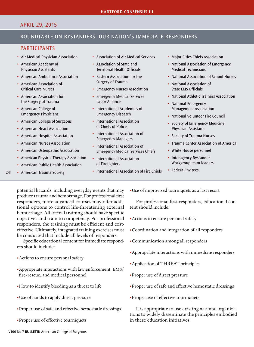# APRIL 29, 2015

# ROUNDTABLE ON BYSTANDERS: OUR NATION'S IMMEDIATE RESPONDERS

## PARTICIPANTS

- Air Medical Physician Association
- American Academy of Physician Assistants
- American Ambulance Association
- American Association of Critical Care Nurses
- American Association for the Surgery of Trauma
- American College of Emergency Physicians
- American College of Surgeons
- American Heart Association
- American Hospital Association
- American Nurses Association
- American Osteopathic Association
- American Physical Therapy Association
- American Public Health Association
- American Trauma Society 24|
- Association of Air Medical Services
- Association of State and Territorial Health Officials
- Eastern Association for the Surgery of Trauma
- Emergency Nurses Association
- Emergency Medical Services Labor Alliance
- International Academies of Emergency Dispatch
- International Association of Chiefs of Police
- International Association of Emergency Managers
- International Association of Emergency Medical Services Chiefs
- International Association of Firefighters
- International Association of Fire Chiefs
- Major Cities Chiefs Association
- National Association of Emergency Medical Technicians
- National Association of School Nurses
- National Association of State EMS Officials
- National Athletic Trainers Association
- National Emergency Management Association
- National Volunteer Fire Council
- Society of Emergency Medicine Physician Assistants
- Society of Trauma Nurses
- Trauma Center Association of America
- White House personnel
- Interagency Bystander Workgroup team leaders
- Federal invitees

potential hazards, including everyday events that may produce trauma and hemorrhage. For professional first responders, more advanced courses may offer additional options to control life-threatening external hemorrhage. All formal training should have specific objectives and train to competency. For professional responders, the training must be efficient and costeffective. Ultimately, integrated training exercises must be conducted that include all levels of responders.

Specific educational content for immediate responders should include:

- •Actions to ensure personal safety
- •Appropriate interactions with law enforcement, EMS/ fire/rescue, and medical personnel
- •How to identify bleeding as a threat to life
- •Use of hands to apply direct pressure
- •Proper use of safe and effective hemostatic dressings
- •Proper use of effective tourniquets

•Use of improvised tourniquets as a last resort

For professional first responders, educational content should include:

- •Actions to ensure personal safety
- •Coordination and integration of all responders
- •Communication among all responders
- •Appropriate interactions with immediate responders
- •Application of THREAT principles
- •Proper use of direct pressure
- •Proper use of safe and effective hemostatic dressings
- •Proper use of effective tourniquets

It is appropriate to use existing national organizations to widely disseminate the principles embodied in these education initiatives.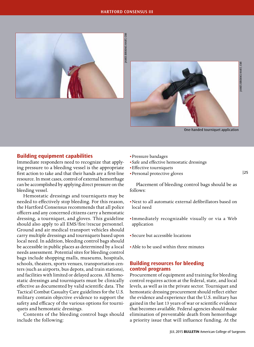#### **HARTFORD CONSENSUS III**





One-handed tourniquet application

## **Building equipment capabilities**

Immediate responders need to recognize that applying pressure to a bleeding vessel is the appropriate first action to take and that their hands are a first-line resource. In most cases, control of external hemorrhage can be accomplished by applying direct pressure on the bleeding vessel.

Hemostatic dressings and tourniquets may be needed to effectively stop bleeding. For this reason, the Hartford Consensus recommends that all police officers and any concerned citizens carry a hemostatic dressing, a tourniquet, and gloves. This guideline should also apply to all EMS/fire/rescue personnel. Ground and air medical transport vehicles should carry multiple dressings and tourniquets based upon local need. In addition, bleeding control bags should be accessible in public places as determined by a local needs assessment. Potential sites for bleeding control bags include shopping malls, museums, hospitals, schools, theaters, sports venues, transportation centers (such as airports, bus depots, and train stations), and facilities with limited or delayed access. All hemostatic dressings and tourniquets must be clinically effective as documented by valid scientific data. The Tactical Combat Casualty Care guidelines for the U.S. military contain objective evidence to support the safety and efficacy of the various options for tourniquets and hemostatic dressings.

Contents of the bleeding control bags should include the following:

- •Pressure bandages
- •Safe and effective hemostatic dressings
- •Effective tourniquets
- •Personal protective gloves

Placement of bleeding control bags should be as follows:

- •Next to all automatic external defibrillators based on local need
- •Immediately recognizable visually or via a Web application
- •Secure but accessible locations
- •Able to be used within three minutes

## **Building resources for bleeding control programs**

Procurement of equipment and training for bleeding control requires action at the federal, state, and local levels, as well as in the private sector. Tourniquet and hemostatic dressing procurement should reflect either the evidence and experience that the U.S. military has gained in the last 13 years of war or scientific evidence that becomes available. Federal agencies should make elimination of preventable death from hemorrhage a priority issue that will influence funding. At the